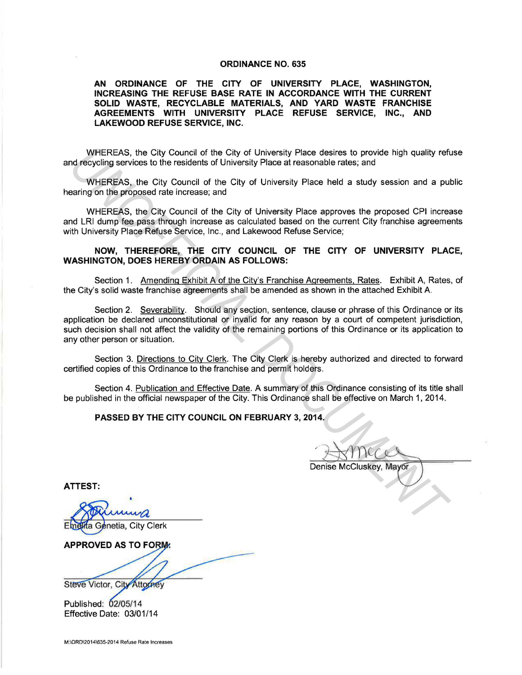## **ORDINANCE NO. 635**

**AN ORDINANCE OF THE CITY OF UNIVERSITY PLACE, WASHINGTON, INCREASING THE REFUSE BASE RATE IN ACCORDANCE WITH THE CURRENT SOLID WASTE, RECYCLABLE MATERIALS, AND YARD WASTE FRANCHISE AGREEMENTS WITH UNIVERSITY PLACE REFUSE SERVICE, INC., AND LAKEWOOD REFUSE SERVICE, INC.** 

WHEREAS, the City Council of the City of University Place desires to provide high quality refuse and recycling services to the residents of University Place at reasonable rates; and

WHEREAS, the City Council of the City of University Place held a study session and a public hearing on the proposed rate increase; and

WHEREAS, the City Council of the City of University Place approves the proposed CPI increase and LRI dump fee pass through increase as calculated based on the current City franchise agreements with University Place Refuse Service, Inc., and Lakewood Refuse Service;

## **NOW, THEREFORE, THE CITY COUNCIL OF THE CITY OF UNIVERSITY PLACE, WASHINGTON, DOES HEREBY ORDAIN AS FOLLOWS:**

Section 1. Amending Exhibit A of the City's Franchise Agreements, Rates. Exhibit A, Rates, of the City's solid waste franchise agreements shall be amended as shown in the attached Exhibit A.

Section 2. Severability. Should any section, sentence, clause or phrase of this Ordinance or its application be declared unconstitutional or invalid for any reason by a court of competent jurisdiction, such decision shall not affect the validity of the remaining portions of this Ordinance or its application to any other person or situation. WHEREAS, the City Council of the City of University Place desires to provide high quality roft<br>
ord. recycling services to the residents of University Place a reasonable rates; and<br>
WHEREAS, the City Council of the City of

Section 3. Directions to City Clerk. The City Clerk is hereby authorized and directed to forward certified copies of this Ordinance to the franchise and permit holders.

Section 4. Publication and Effective Date. A summary of this Ordinance consisting of its title shall be published in the official newspaper of the City. This Ordinance shall be effective on March 1, 2014.

## **PASSED BY THE CITY COUNCIL ON FEBRUARY 3, 2014.**

**ATTEST:** 

**APPROVED AS TO FORM:** 

Steve Victor, City Attorney

Published: 02/05/14 Effective Date: 03/01/14

M:\ORD\20141635-2014 Refuse Rate Increases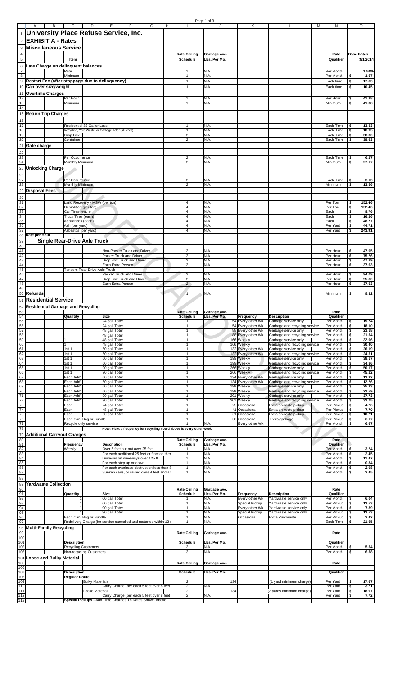| University Place Refuse Service, Inc.           |                                                  |                               |                                                      |                                                                       |                                                    |                              |     |                                          |                                                       |                          |          |                   |
|-------------------------------------------------|--------------------------------------------------|-------------------------------|------------------------------------------------------|-----------------------------------------------------------------------|----------------------------------------------------|------------------------------|-----|------------------------------------------|-------------------------------------------------------|--------------------------|----------|-------------------|
| <b>EXHIBIT A - Rates</b>                        |                                                  |                               |                                                      |                                                                       |                                                    |                              |     |                                          |                                                       |                          |          |                   |
| <b>Miscellaneous Service</b>                    |                                                  |                               |                                                      |                                                                       |                                                    |                              |     |                                          |                                                       |                          |          |                   |
|                                                 |                                                  |                               |                                                      |                                                                       | <b>Rate Ceiling</b>                                | Garbage ave.                 |     |                                          |                                                       | Rate                     |          | <b>Base Rates</b> |
| Late Charge on delinquent balances              | Item                                             |                               |                                                      |                                                                       | Schedule                                           | Lbs. Per Mo.                 |     |                                          |                                                       | Qualifier                |          | 3/1/2014          |
|                                                 | Rate                                             |                               |                                                      |                                                                       | 1                                                  | N.A.                         |     |                                          |                                                       | Per Month                |          | 1.50%             |
| Restart Fee (after stoppage due to delinquency) | Minimum                                          |                               |                                                      |                                                                       | $\mathbf{1}$<br>$\mathbf{1}$                       | N.A.<br>N.A.                 |     |                                          |                                                       | Per Month<br>Each time   | s<br>\$  | 1.67<br>17.83     |
| Can over size/weight                            |                                                  |                               |                                                      |                                                                       | $\mathbf{1}$                                       | N.A.                         |     |                                          |                                                       | Each time                | \$       | 10.45             |
| <b>Overtime Charges</b>                         |                                                  |                               |                                                      |                                                                       |                                                    |                              |     |                                          |                                                       |                          |          |                   |
|                                                 | Per Hour<br>Minimum                              |                               |                                                      |                                                                       | 1<br>1                                             | N.A.<br>N.A.                 |     |                                          |                                                       | Per Hour<br>Minimum      | \$<br>\$ | 41.38<br>41.38    |
|                                                 |                                                  |                               |                                                      |                                                                       |                                                    |                              |     |                                          |                                                       |                          |          |                   |
| <b>Return Trip Charges</b>                      |                                                  |                               |                                                      |                                                                       |                                                    |                              |     |                                          |                                                       |                          |          |                   |
|                                                 |                                                  |                               |                                                      |                                                                       |                                                    |                              |     |                                          |                                                       |                          |          |                   |
|                                                 |                                                  | Residential 32 Gal or Less    | Recycling, Yard Waste, or Garbage Toter (all sizes)  |                                                                       | 1<br>$\mathbf{1}$                                  | N.A.<br>N.A.                 |     |                                          |                                                       | Each Time<br>Each Time   | \$<br>\$ | 13.53<br>18.95    |
|                                                 | Drop Box<br>Container                            |                               |                                                      |                                                                       | $\overline{\mathbf{c}}$<br>2                       | N.A.<br>N.A.                 |     |                                          |                                                       | Each Time<br>Each Time   | \$<br>\$ | 38.30<br>38.63    |
| Gate charge                                     |                                                  |                               |                                                      |                                                                       |                                                    |                              |     |                                          |                                                       |                          |          |                   |
|                                                 |                                                  |                               |                                                      |                                                                       |                                                    |                              |     |                                          |                                                       |                          |          |                   |
|                                                 | Per Occurrence                                   |                               |                                                      |                                                                       | 2                                                  | N.A.                         |     |                                          |                                                       | Each Time                | s        | 6.27              |
| <b>Unlocking Charge</b>                         | Monthly Minimum                                  |                               |                                                      |                                                                       | $\overline{2}$                                     | N.A.                         |     |                                          |                                                       | Minimum                  | \$       | 27.17             |
|                                                 |                                                  |                               |                                                      |                                                                       |                                                    |                              |     |                                          |                                                       |                          |          |                   |
|                                                 | Per Occurrence                                   |                               |                                                      |                                                                       | $\overline{2}$                                     | N.A.                         |     |                                          |                                                       | Each Time                | \$       | 3.13              |
|                                                 | Monthly Minimum                                  |                               |                                                      |                                                                       | $\mathbf 2$                                        | N.A.                         |     |                                          |                                                       | Minimum                  | Ŝ        | 13.56             |
| <b>Disposal Fees</b>                            |                                                  |                               |                                                      |                                                                       |                                                    |                              |     |                                          |                                                       |                          |          |                   |
|                                                 |                                                  | Land Recovery - MSW (per ton) |                                                      |                                                                       | 4                                                  | N.A.                         |     |                                          |                                                       | Per Ton                  | \$       | 152.46            |
|                                                 | Demolition (per ton)                             |                               |                                                      |                                                                       | 4                                                  | N.A.                         |     |                                          |                                                       | Per Ton                  | \$<br>\$ | 152.46            |
|                                                 | Car Tires (each)<br>Truck Tires (each)           |                               |                                                      |                                                                       | 4<br>$\overline{\mathbf{4}}$                       | N.A.<br>N.A.                 |     |                                          |                                                       | Each<br>Each             | \$       | 9.76<br>16.26     |
|                                                 | Appliances (each)                                |                               |                                                      |                                                                       | 4                                                  | N.A.                         |     |                                          |                                                       | Each                     | \$       | 48.77             |
|                                                 | Ash (per yard)<br>Asbestos (per yard)            |                               |                                                      |                                                                       | 4<br>4                                             | N.A.<br>N.A.                 |     |                                          |                                                       | Per Yard<br>Per Yard     | \$<br>Ŝ  | 44.71<br>243.91   |
| Rate per Hour                                   |                                                  |                               |                                                      |                                                                       |                                                    |                              |     |                                          |                                                       |                          |          |                   |
|                                                 | <b>Single Rear-Drive Axle Truck</b>              |                               |                                                      |                                                                       |                                                    |                              |     |                                          |                                                       |                          |          |                   |
|                                                 |                                                  |                               | Non-Packer Truck and Driver                          |                                                                       | $\mathbf 2$                                        | N.A.                         |     |                                          |                                                       | Per Hour                 | \$       | 47.05             |
|                                                 |                                                  |                               | Packer Truck and Driver<br>Drop Box Truck and Driver |                                                                       | $\overline{\mathbf{c}}$<br>$\overline{\mathbf{c}}$ | N.A.<br>N.A.                 |     |                                          |                                                       | Per Hour<br>Per Hour     | \$<br>\$ | 75.26<br>47.89    |
|                                                 |                                                  |                               | Each Extra Person                                    |                                                                       | $\mathbf 2$                                        | N.A.                         |     |                                          |                                                       | Per Hour                 | \$       | 37.63             |
|                                                 |                                                  | Tandem Rear-Drive Axle Truck  | Packer Truck and Driver                              |                                                                       | $\overline{c}$                                     | N.A.                         |     |                                          |                                                       | Per Hour                 | \$       | 94.09             |
|                                                 |                                                  |                               | Drop Box Truck and Driver                            |                                                                       | $\overline{2}$                                     | N.A.                         |     |                                          |                                                       | Per Hour                 | \$       | 95.80             |
|                                                 |                                                  |                               | Each Extra Person                                    |                                                                       | $\overline{2}$                                     | N.A.                         |     |                                          |                                                       | Per Hour                 | \$       | 37.63             |
| Refunds                                         |                                                  |                               |                                                      |                                                                       | $\overline{1}$                                     | N.A.                         |     |                                          |                                                       | Minimum                  | \$       | 8.32              |
| <b>Residential Service</b>                      |                                                  |                               |                                                      |                                                                       |                                                    |                              |     |                                          |                                                       |                          |          |                   |
| <b>Residential Garbage and Recycling</b>        |                                                  |                               |                                                      |                                                                       | <b>Rate Ceiling</b>                                |                              |     |                                          |                                                       | Rate                     |          |                   |
|                                                 | Quantity                                         |                               | Size                                                 |                                                                       | <b>Schedule</b>                                    | Garbage ave.<br>Lbs. Per Mo. |     | Frequency                                | <b>Description</b>                                    | Qualifier                |          |                   |
|                                                 |                                                  |                               | 24 gal. Toter                                        |                                                                       | 1                                                  |                              |     | 54 Every-other Wk<br>54 Every-other Wk   | Garbage service only                                  | Per Month<br>Per Month   | \$<br>\$ | 19.74<br>18.10    |
|                                                 |                                                  |                               | 24 gal. Toter<br>48 gal. Toter                       |                                                                       | 1                                                  |                              |     | 88 Every-other Wk                        | Garbage and recycling service<br>Garbage service only | Per Month                | \$       | 23.18             |
|                                                 |                                                  |                               | 48 gal. Toter<br>48 gal. Toter                       |                                                                       | $\mathbf{1}$<br>1                                  |                              |     | 88 Every-other Wk<br>166 Weekly          | Garbage and recycling service<br>Garbage service only | Per Month<br>Per Month   | \$<br>\$ | 21.54<br>32.06    |
|                                                 |                                                  |                               | 48 gal. Toter                                        |                                                                       | $\mathbf{1}$                                       |                              |     | 166 Weekly                               | Garbage and recycling service                         | Per Month                | \$       | 30.40             |
|                                                 | 1st1<br>1st <sub>1</sub>                         |                               | 60 gal. Toter<br>60 gal. Toter                       |                                                                       | $\mathbf{1}$<br>1                                  |                              |     | 132 Every-other Wk<br>132 Every-other Wk | Garbage service only<br>Garbage and recycling service | Per Month<br>Per Month   | \$<br>\$ | 26.19<br>24.51    |
|                                                 | 1st 1                                            |                               | 60 gal. Toter                                        |                                                                       | $\mathbf{1}$                                       |                              |     | 199 Weekly                               | Garbage service only                                  | Per Month                | \$       | 38.17             |
|                                                 | 1st 1<br>1st 1                                   |                               | 60 gal. Toter<br>90 gal. Toter                       |                                                                       | $\mathbf{1}$<br>1                                  |                              |     | 199 Weekly<br>266 Weekly                 | Garbage and recycling service<br>Garbage service only | Per Month<br>Per Month   | \$<br>\$ | 34.86<br>50.17    |
|                                                 | 1st 1                                            |                               | 90 gal. Toter                                        |                                                                       | 1                                                  |                              |     | 266 Weekly                               | Garbage and recycling service                         | Per Month                | \$       | 45.22             |
|                                                 | Each Add'l<br>Each Add'l                         |                               | 60 gal. Toter<br>60 gal. Toter                       |                                                                       | $\mathbf{1}$<br>1                                  |                              |     | 134 Every-other Wk<br>134 Every-other Wk | Garbage service only<br>Garbage and recycling service | Per Month<br>Per Month   | \$<br>\$ | 13.92<br>12.26    |
|                                                 | Each Add'l                                       |                               | 60 gal. Toter                                        |                                                                       | 1                                                  |                              |     | 199 Weekly                               | Garbage service only                                  | Per Month                | \$       | 25.93             |
|                                                 | Each Add'l<br>Each Add'l                         |                               | 60 gal. Toter<br>90 gal. Toter                       |                                                                       | $\mathbf{1}$<br>$\mathbf{1}$                       |                              |     | 199 Weekly<br>201 Weekly                 | Garbage and recycling service<br>Garbage service only | Per Month<br>Per Month   | \$<br>\$ | 22.59<br>37.73    |
|                                                 | Each Add'l                                       |                               | 90 gal. Toter                                        |                                                                       | 1                                                  |                              |     | 201 Weekly                               | Garbage and recycling service                         | Per Month                | \$       | 32.75             |
|                                                 | Each<br>Each                                     |                               | 24 gal. Toter<br>48 gal. Toter                       |                                                                       | $\overline{1}$<br>$\mathbf{1}$                     |                              |     | 25 Occasional<br>41 Occasional           | Extra on-route pickup<br>Extra on-route pickup        | Per Pickup<br>Per Pickup | \$<br>\$ | 4.26<br>7.70      |
|                                                 | Each                                             |                               | 60 gal. Toter                                        |                                                                       | 1<br>$\mathbf{1}$                                  |                              |     | 61 Occasional<br>30 Occasional           | Extra on-route pickup                                 | Per Pickup<br>Per Pickup | \$<br>\$ | 10.21             |
|                                                 | Recycle only service                             | Each Can, Bag or Bundle       |                                                      |                                                                       | $\mathbf{1}$                                       | N.A.                         |     | Every-other Wk                           | Extra garbage                                         | Per Month                | \$       | 6.17<br>6.67      |
|                                                 |                                                  |                               |                                                      | Note: Pickup frequency for recycling noted above is every-other week. |                                                    |                              |     |                                          | o                                                     |                          |          |                   |
| <b>Additional Carryout Charges</b>              |                                                  |                               |                                                      |                                                                       | <b>Rate Ceiling</b>                                | Garbage ave.                 |     |                                          |                                                       | Rate                     |          |                   |
|                                                 | Frequency                                        |                               | <b>Description</b>                                   |                                                                       | Schedule                                           | Lbs. Per Mo.                 |     |                                          |                                                       | Qualifier                |          |                   |
|                                                 | Weekly                                           |                               | Over 5 feet but not over 25 feet                     | For each additional 25 feet or fraction ther                          | 1<br>1                                             | N.A.<br>N.A.                 |     |                                          |                                                       | Per Month<br>Per Month   | \$<br>\$ | 3.24<br>2.45      |
|                                                 |                                                  |                               |                                                      | Drive-ins on driveways over 125 ft                                    | 1                                                  | N.A.                         |     |                                          |                                                       | Per Month                | \$       | 11.47             |
|                                                 |                                                  |                               | For each step up or down                             | For each overhead obstruction less than 8                             | 1<br>$\mathbf{1}$                                  | N.A.<br>N.A.                 |     |                                          |                                                       | Per Month<br>Per Month   | \$<br>\$ | 0.84<br>2.08      |
|                                                 |                                                  |                               |                                                      | Sunken cans, or raised cans 4 feet and ab                             | 1                                                  | N.A.                         |     |                                          |                                                       | Per Month                | \$       | 2.45              |
| <b>Yardwaste Collection</b>                     |                                                  |                               |                                                      |                                                                       |                                                    |                              |     |                                          |                                                       |                          |          |                   |
|                                                 |                                                  |                               |                                                      |                                                                       | <b>Rate Ceiling</b>                                | Garbage ave.                 |     |                                          |                                                       | Rate                     |          |                   |
|                                                 | Quantity                                         |                               | Size<br>60 gal. Toter                                |                                                                       | Schedule<br>1                                      | Lbs. Per Mo.<br>N.A.         |     | Frequency<br>Every-other Wk              | <b>Description</b><br>Yardwaste service only          | Qualifier<br>Per Month   | \$       | 6.04              |
|                                                 | $\overline{1}$                                   |                               | 60 gal. Toter                                        |                                                                       | 1                                                  | N.A.                         |     | Special Pickup                           | Yardwaste service only                                | Per Pickup               | \$       | 13.53             |
|                                                 | $\overline{1}$                                   |                               | 90 gal. Toter<br>90 gal. Toter                       |                                                                       | $\mathbf{1}$<br>$\mathbf{1}$                       | N.A.<br>N.A.                 |     | Every-other Wk<br>Special Pickup         | Yardwaste service only<br>Yardwaste service only      | Per Month<br>Per Pickup  | \$<br>\$ | 7.89<br>13.53     |
|                                                 |                                                  | Each Can, Bag or Bundle       |                                                      |                                                                       | $\mathbf{1}$                                       | N.A.                         |     | Occasional                               | Extra Yardwaste                                       | Per Pickup               | \$       | 2.42              |
|                                                 |                                                  |                               |                                                      | Redelivery Charge (for service cancelled and restarted within 12      | 1                                                  | N.A.                         |     |                                          |                                                       | Each Time                | \$       | 21.65             |
| <b>Multi-Family Recycling</b>                   |                                                  |                               |                                                      |                                                                       | <b>Rate Ceiling</b>                                | Garbage ave.                 |     |                                          |                                                       | Rate                     |          |                   |
|                                                 |                                                  |                               |                                                      |                                                                       |                                                    |                              |     |                                          |                                                       |                          |          |                   |
|                                                 | <b>Description</b><br><b>Recycling Customers</b> |                               |                                                      |                                                                       | Schedule<br>3                                      | Lbs. Per Mo.<br>N.A.         |     |                                          |                                                       | Qualifier<br>Per Month   | \$       | 5.54              |
|                                                 | Non-recycling Customers                          |                               |                                                      |                                                                       | 3                                                  | N.A.                         |     |                                          |                                                       | Per Month                | \$       | 6.58              |
| <b>Loose and Bulky Material</b>                 |                                                  |                               |                                                      |                                                                       |                                                    |                              |     |                                          |                                                       |                          |          |                   |
|                                                 |                                                  |                               |                                                      |                                                                       | <b>Rate Ceiling</b>                                | Garbage ave.                 |     |                                          |                                                       | Rate                     |          |                   |
|                                                 | <b>Description</b>                               |                               |                                                      |                                                                       | <b>Schedule</b>                                    | Lbs. Per Mo.                 |     |                                          |                                                       | Qualifier                |          |                   |
|                                                 | <b>Regular Route</b>                             | <b>Bulky Materials</b>        |                                                      |                                                                       | $\overline{2}$                                     |                              | 134 |                                          | (1 yard minimum charge)                               | Per Yard                 | \$       | 17.67             |
|                                                 |                                                  |                               |                                                      | Carry Charge (per each 5 feet over 8 feet                             | $\mathbf 2$                                        | N.A.                         |     |                                          |                                                       | Per Yard                 | \$       | 3.21              |
|                                                 |                                                  | Loose Material                |                                                      | Carry Charge (per each 5 feet over 8 feet                             | 2<br>$\overline{\mathbf{c}}$                       | N.A.                         | 134 |                                          | (2 yards minimum charge)                              | Per Yard<br>Per Yard     | \$<br>\$ | 18.97<br>7.72     |
|                                                 |                                                  |                               |                                                      | Special Pickups - Add Time Charges To Rates Shown Above               |                                                    |                              |     |                                          |                                                       |                          |          |                   |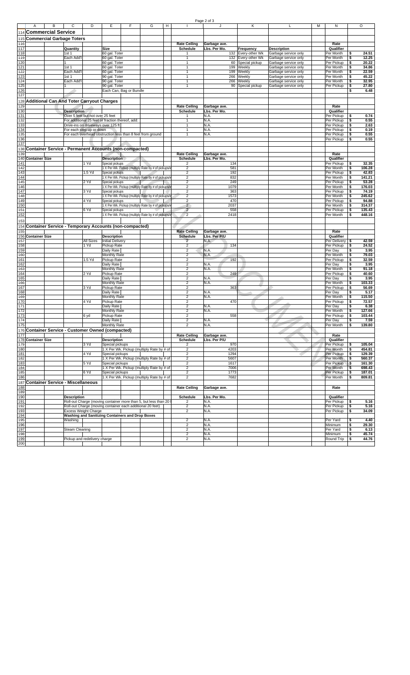| Commercial Service                                            |                                    |                  |                                                            |                         |                                                                 |                                  |                              |             |                          |                                              |                          |          |                 |
|---------------------------------------------------------------|------------------------------------|------------------|------------------------------------------------------------|-------------------------|-----------------------------------------------------------------|----------------------------------|------------------------------|-------------|--------------------------|----------------------------------------------|--------------------------|----------|-----------------|
| <b>Commercial Garbage Toters</b>                              |                                    |                  |                                                            |                         |                                                                 |                                  |                              |             |                          |                                              |                          |          |                 |
|                                                               |                                    |                  |                                                            |                         |                                                                 | <b>Rate Ceiling</b>              | Garbage ave.                 |             |                          |                                              | Rate                     |          |                 |
|                                                               | Quantity                           |                  | Size                                                       |                         |                                                                 | <b>Schedule</b>                  | Lbs. Per Mo.                 |             | Frequency                | <b>Description</b>                           | Qualifier                |          |                 |
|                                                               | 1st1                               |                  | 60 gal. Toter                                              |                         |                                                                 |                                  |                              |             | 132 Every-other Wk       | Garbage service only                         | Per Month                | \$       | 24.51           |
|                                                               | Each Add'l                         |                  | 60 gal. Toter                                              |                         |                                                                 | 1                                |                              |             | 132 Every-other Wk       | Garbage service only                         | Per Month                | \$       | 12.25           |
|                                                               |                                    |                  | 60 gal. Toter                                              |                         |                                                                 | 1                                |                              |             | 60 Special pickup        | Garbage service only                         | Per Pickup               | \$       | 20.22           |
|                                                               | 1st 1                              |                  | 60 gal. Toter                                              |                         |                                                                 | $\mathbf{1}$                     |                              |             | 199 Weekly               | Garbage service only                         | Per Month                | \$       | 34.86           |
|                                                               | Each Add'l                         |                  | 60 gal. Toter                                              |                         |                                                                 | $\overline{1}$                   |                              |             | 199 Weekly               | Garbage service only                         | Per Month                | \$       | 22.59           |
|                                                               | 1st 1                              |                  | 90 gal. Toter                                              |                         |                                                                 | $\mathbf{1}$                     |                              |             | 266 Weekly               | Garbage service only                         | Per Month                | \$       | 45.22           |
|                                                               | Each Add'l                         |                  | 90 gal. Toter<br>90 gal. Toter                             |                         |                                                                 | $\mathbf{1}$<br>$\mathbf{1}$     |                              | 266<br>90   | Weekly<br>Special pickup | Garbage service only<br>Garbage service only | Per Month<br>Per Pickup  | \$<br>\$ | 32.95<br>27.80  |
|                                                               |                                    |                  |                                                            | Each Can, Bag or Bundle |                                                                 |                                  |                              |             |                          |                                              |                          | \$       | 6.48            |
|                                                               |                                    |                  |                                                            |                         |                                                                 |                                  |                              |             |                          |                                              |                          |          |                 |
|                                                               |                                    |                  |                                                            |                         |                                                                 |                                  |                              |             |                          |                                              |                          |          |                 |
| <b>Additional Can And Toter Carryout Charges</b>              |                                    |                  |                                                            |                         |                                                                 | <b>Rate Ceiling</b>              |                              |             |                          |                                              | Rate                     |          |                 |
|                                                               | <b>Description</b>                 |                  |                                                            |                         |                                                                 | <b>Schedule</b>                  | Garbage ave.<br>Lbs. Per Mo. |             |                          |                                              | Qualifier                |          |                 |
|                                                               | Over 5 feet but not over 25 feet   |                  |                                                            |                         |                                                                 |                                  | N.A.                         |             |                          |                                              | Per Pickup               | \$       | 0.74            |
|                                                               |                                    |                  | For additional 25 feet or fraction thereof, add:           |                         |                                                                 | $\mathbf{1}$                     | N.A.                         |             |                          |                                              | Per Pickup               | \$       | 0.55            |
|                                                               | Drive-ins on driveways over 125 ft |                  |                                                            |                         |                                                                 | 1                                | N.A                          |             |                          |                                              | Per Pickup               | \$       | 2.63            |
|                                                               | For each step up or down           |                  |                                                            |                         |                                                                 | 1                                | N.A.                         |             |                          |                                              | Per Pickup               | \$       | 0.19            |
|                                                               |                                    |                  |                                                            |                         | For each overhead obstruction less than 8 feet from ground      | $\mathbf{1}$                     | N.A.                         |             |                          |                                              | Per Pickup               | \$       | 0.55            |
|                                                               |                                    |                  |                                                            |                         |                                                                 |                                  |                              |             |                          |                                              | Per Pickup               | \$       | 0.55            |
|                                                               |                                    |                  |                                                            |                         |                                                                 |                                  |                              |             |                          |                                              |                          |          |                 |
| <b>Container Service - Permanent Accounts (non-compacted)</b> |                                    |                  |                                                            |                         |                                                                 |                                  |                              |             |                          |                                              |                          |          |                 |
|                                                               |                                    |                  |                                                            |                         |                                                                 | <b>Rate Ceiling</b>              | Garbage ave.                 |             |                          |                                              | Rate                     |          |                 |
| <b>Container Size</b>                                         |                                    |                  | <b>Description</b>                                         |                         |                                                                 | Schedule                         | Lbs. Per Mo.                 |             |                          |                                              | Qualifier                |          |                 |
|                                                               |                                    | 1 Yd             | Special pickups                                            |                         |                                                                 | 2                                |                              | 134         |                          |                                              | Per Pickup               | \$       | 32.35           |
|                                                               |                                    |                  |                                                            |                         | 1 X Per Wk. Pickup (multiply Rate by # of pickups/              | $\overline{2}$                   |                              | 581         |                          |                                              | Per Month                | \$       | 106.28          |
|                                                               |                                    | 1.5 Yd           | Special pickups                                            |                         |                                                                 | $\overline{c}$                   |                              | 192         |                          |                                              | Per Pickup               | \$       | 42.83           |
|                                                               |                                    |                  |                                                            |                         | 1 X Per Wk. Pickup (multiply Rate by # of pickups/              | $\overline{2}$                   |                              | 832         |                          |                                              | Per Month                | \$       | 141.21          |
|                                                               |                                    | 2 Yd             | Special pickups                                            |                         | 1 X Per Wk. Pickup (multiply Rate by # of pickups/v             | $\overline{c}$<br>$\overline{c}$ |                              | 249<br>1079 |                          |                                              | Per Pickup<br>Per Month  | \$<br>\$ | 53.28<br>176.03 |
|                                                               |                                    | 3 Yd             | Special pickups                                            |                         |                                                                 | $\overline{\mathbf{c}}$          |                              | 363         |                          |                                              | Per Pickup               | \$       | 74.19           |
|                                                               |                                    |                  |                                                            |                         | 1 X Per Wk. Pickup (multiply Rate by # of pickups/              | $\mathbf 2$                      |                              | 1573        |                          |                                              | Per Month                | \$       | 245.62          |
|                                                               |                                    | 4 Yd             | Special pickups                                            |                         |                                                                 | 2                                |                              | 470         |                          |                                              | Per Pickup               | \$       | 94.88           |
|                                                               |                                    |                  |                                                            |                         | 1 X Per Wk. Pickup (multiply Rate by # of pickups/              | $\overline{2}$                   |                              | 2037        |                          |                                              | Per Month                | \$       | 314.37          |
|                                                               |                                    | 6 Yd             | Special pickups                                            |                         |                                                                 | $\overline{2}$                   |                              | 558         |                          |                                              | Per Pickup               | \$       | 135.43          |
|                                                               |                                    |                  |                                                            |                         | 1 X Per Wk. Pickup (multiply Rate by # of pickups/v             | $\overline{2}$                   |                              | 2418        |                          |                                              | Per Month                | \$       | 448.16          |
|                                                               |                                    |                  |                                                            |                         |                                                                 |                                  |                              |             |                          |                                              |                          |          |                 |
| <b>Container Service - Temporary Accounts (non-compacted)</b> |                                    |                  |                                                            |                         |                                                                 |                                  |                              |             |                          |                                              |                          |          |                 |
|                                                               |                                    |                  |                                                            |                         |                                                                 | <b>Rate Ceiling</b>              | Garbage ave.                 |             |                          |                                              | Rate                     |          |                 |
| <b>Container Size</b>                                         |                                    |                  | <b>Description</b>                                         |                         |                                                                 | <b>Schedule</b>                  | Lbs. Per P/U                 |             |                          |                                              | Qualifier                |          |                 |
|                                                               |                                    | <b>All Sizes</b> | <b>Initial Delivery</b>                                    |                         |                                                                 | $\overline{2}$                   | N.A.                         |             |                          |                                              | Per Delivery \$          |          | 42.59           |
|                                                               |                                    | 1 Yd             | Pickup Rate                                                |                         |                                                                 | $\overline{2}$                   |                              | 134         |                          |                                              | Per Pickup               | \$       | 24.52           |
|                                                               |                                    |                  | Daily Rate                                                 |                         |                                                                 | 2                                | N.A                          |             |                          |                                              | Per Day                  | \$       | 3.95            |
|                                                               |                                    |                  | Monthly Rate                                               |                         |                                                                 | $\overline{\mathbf{c}}$          | N.A.                         |             |                          |                                              | Per Month                | \$       | 79.03           |
|                                                               |                                    | 1.5 Yd           | Pickup Rate                                                |                         |                                                                 | $\overline{\mathbf{c}}$          |                              | 192         |                          |                                              | Per Pickup               | \$       | 32.59           |
|                                                               |                                    |                  | Daily Rate                                                 |                         |                                                                 | $\mathbf 2$                      | N.A                          |             |                          |                                              | Per Day                  | \$       | 3.95            |
|                                                               |                                    |                  | Monthly Rate                                               |                         |                                                                 | $\overline{2}$                   | N.A.                         |             |                          |                                              | Per Month                | \$       | 91.18           |
|                                                               |                                    | 2 Yd             | Pickup Rate                                                |                         |                                                                 | $\mathbf 2$                      |                              | 249         |                          |                                              | Per Pickup               | \$       | 40.60           |
|                                                               |                                    |                  | Daily Rate<br>Monthly Rate                                 |                         |                                                                 | $\overline{c}$<br>$\overline{2}$ | N.A.<br>N.A.                 |             |                          |                                              | Per Day<br>Per Month     | \$<br>\$ | 3.95<br>103.33  |
|                                                               |                                    | 3 Yd             | Pickup Rate                                                |                         |                                                                 | $\overline{\mathbf{c}}$          |                              | 363         |                          |                                              | Per Pickup               | \$       | 56.69           |
|                                                               |                                    |                  | Daily Rate                                                 |                         |                                                                 | $\overline{2}$                   | N.A.                         |             |                          |                                              | Per Day                  | \$       | 5.17            |
|                                                               |                                    |                  | Monthly Rate                                               |                         |                                                                 | $\overline{2}$                   | N.A.                         |             |                          |                                              | Per Month                | \$       | 115.50          |
|                                                               |                                    | 4 Yd             | Pickup Rate                                                |                         |                                                                 | 2                                |                              | 470         |                          |                                              | Per Pickup               | \$       | 72.57           |
|                                                               |                                    |                  | Daily Rate                                                 |                         |                                                                 | $\overline{2}$                   | N.A.                         |             |                          |                                              | Per Day                  | \$       | 6.38            |
|                                                               |                                    |                  | Monthly Rate                                               |                         |                                                                 | $\overline{2}$                   | N.A.                         |             |                          |                                              | Per Month                | \$       | 127.66          |
|                                                               |                                    | 6 yd             | Pickup Rate                                                |                         |                                                                 | $\overline{\mathbf{c}}$          |                              | 558         |                          |                                              | Per Pickup               | \$       | 103.44          |
|                                                               |                                    |                  | Daily Rate                                                 |                         |                                                                 | $\overline{c}$                   | N.A.                         |             |                          |                                              | Per Day                  | \$       | 7.59            |
|                                                               |                                    |                  | Monthly Rate                                               |                         |                                                                 | $\overline{2}$                   | N.A                          |             |                          |                                              | Per Month                | \$       | 139.80          |
| <b>Container Service - Customer Owned (compacted)</b>         |                                    |                  |                                                            |                         |                                                                 |                                  |                              |             |                          |                                              |                          |          |                 |
|                                                               |                                    |                  |                                                            |                         |                                                                 | <b>Rate Ceiling</b>              | Garbage ave.                 |             |                          |                                              | Rate                     |          |                 |
| <b>Container Size</b>                                         |                                    | 3 Yd             | <b>Description</b><br>Special pickups                      |                         |                                                                 | Schedule<br>2                    | Lbs. Per P/U                 | 970         |                          |                                              | Qualifier<br>Per Pickup  | \$       | 105.04          |
|                                                               |                                    |                  |                                                            |                         | 1 X Per Wk. Pickup (multiply Rate by # of                       | $\overline{2}$                   |                              | 4203        |                          |                                              | Per Month                | \$       | 454.81          |
|                                                               |                                    | 4 Yd             | Special pickups                                            |                         |                                                                 | 2                                |                              | 1294        |                          |                                              | Per Pickup               | \$       | 129.39          |
|                                                               |                                    |                  |                                                            |                         | 1 X Per Wk. Pickup (multiply Rate by # of                       | $\overline{2}$                   |                              | 5607        |                          |                                              | Per Month                | \$       | 560.37          |
|                                                               |                                    | 5 Yd             | Special pickups                                            |                         |                                                                 | $\overline{2}$                   |                              | 1617        |                          |                                              | Per Pickup               | \$       | 161.30          |
|                                                               |                                    |                  |                                                            |                         | 1 X Per Wk. Pickup (multiply Rate by # of                       | $\overline{\mathbf{c}}$          |                              | 7006        |                          |                                              | Per Month                | \$       | 698.43          |
|                                                               |                                    | 6 Yd             | Special pickups                                            |                         |                                                                 | $\overline{2}$                   |                              | 1773        |                          |                                              | Per Pickup               | \$       | 187.01          |
|                                                               |                                    |                  |                                                            |                         | 1 X Per Wk. Pickup (multiply Rate by # of                       | $\overline{2}$                   |                              | 7682        |                          |                                              | Per Month                | \$       | 809.81          |
| <b>Container Service - Miscellaneous</b>                      |                                    |                  |                                                            |                         |                                                                 |                                  |                              |             |                          |                                              |                          |          |                 |
|                                                               |                                    |                  |                                                            |                         |                                                                 | <b>Rate Ceiling</b>              | Garbage ave.                 |             |                          |                                              | Rate                     |          |                 |
|                                                               |                                    |                  |                                                            |                         |                                                                 |                                  |                              |             |                          |                                              |                          |          |                 |
|                                                               | <b>Description</b>                 |                  |                                                            |                         |                                                                 | Schedule                         | Lbs. Per Mo.                 |             |                          |                                              | Qualifier                |          |                 |
|                                                               |                                    |                  | Roll-out Charge (moving container each additional 20 feet) |                         | Roll-out Charge (moving container more than 5, but less than 20 | 2                                | N.A.                         |             |                          |                                              | Per Pickup<br>Per Pickup | \$       | 5.16<br>5.16    |
|                                                               | Excess Weight Charge               |                  |                                                            |                         |                                                                 | 2<br>$\overline{c}$              | N.A.<br>N.A.                 |             |                          |                                              | Per Pickup               | \$<br>\$ | 34.09           |
|                                                               |                                    |                  | Washing and Sanitizing Containers and Drop Boxes           |                         |                                                                 |                                  |                              |             |                          |                                              |                          |          |                 |
|                                                               | Washing                            |                  |                                                            |                         |                                                                 | $\overline{\mathbf{c}}$          | N.A.                         |             |                          |                                              | Per Yard                 | \$       | 4.40            |
|                                                               |                                    |                  |                                                            |                         |                                                                 | $\overline{c}$                   | N.A.                         |             |                          |                                              | Minimum                  | \$       | 29.30           |
|                                                               | <b>Steam Cleaning</b>              |                  |                                                            |                         |                                                                 | $\overline{2}$                   | N.A.                         |             |                          |                                              | Per Yard                 | \$       | 6.13            |
|                                                               |                                    |                  |                                                            |                         |                                                                 | $\overline{\mathbf{c}}$          | N.A.                         |             |                          |                                              | Minimum                  | \$       | 45.74           |
|                                                               | Pickup and redelivery charge       |                  |                                                            |                         |                                                                 | $\overline{2}$                   | N.A.                         |             |                          |                                              | Round Trip               | \$       | 44.76           |
|                                                               |                                    |                  |                                                            |                         |                                                                 |                                  |                              |             |                          |                                              |                          |          |                 |